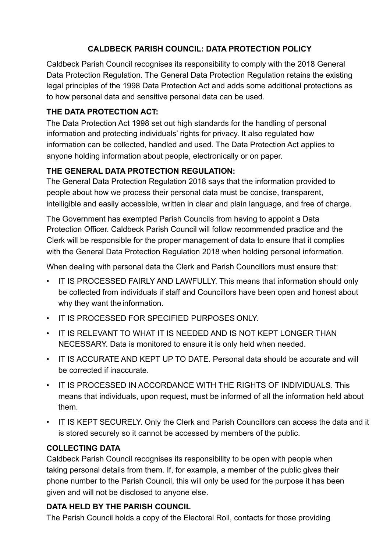# **CALDBECK PARISH COUNCIL: DATA PROTECTION POLICY**

Caldbeck Parish Council recognises its responsibility to comply with the 2018 General Data Protection Regulation. The General Data Protection Regulation retains the existing legal principles of the 1998 Data Protection Act and adds some additional protections as to how personal data and sensitive personal data can be used.

# **THE DATA PROTECTION ACT:**

The Data Protection Act 1998 set out high standards for the handling of personal information and protecting individuals' rights for privacy. It also regulated how information can be collected, handled and used. The Data Protection Act applies to anyone holding information about people, electronically or on paper.

# **THE GENERAL DATA PROTECTION REGULATION:**

The General Data Protection Regulation 2018 says that the information provided to people about how we process their personal data must be concise, transparent, intelligible and easily accessible, written in clear and plain language, and free of charge.

The Government has exempted Parish Councils from having to appoint a Data Protection Officer. Caldbeck Parish Council will follow recommended practice and the Clerk will be responsible for the proper management of data to ensure that it complies with the General Data Protection Regulation 2018 when holding personal information.

When dealing with personal data the Clerk and Parish Councillors must ensure that:

- IT IS PROCESSED FAIRLY AND LAWFULLY. This means that information should only be collected from individuals if staff and Councillors have been open and honest about why they want the information.
- IT IS PROCESSED FOR SPECIFIED PURPOSES ONLY.
- IT IS RELEVANT TO WHAT IT IS NEEDED AND IS NOT KEPT LONGER THAN NECESSARY. Data is monitored to ensure it is only held when needed.
- IT IS ACCURATE AND KEPT UP TO DATE. Personal data should be accurate and will be corrected if inaccurate.
- IT IS PROCESSED IN ACCORDANCE WITH THE RIGHTS OF INDIVIDUALS. This means that individuals, upon request, must be informed of all the information held about them.
- IT IS KEPT SECURELY. Only the Clerk and Parish Councillors can access the data and it is stored securely so it cannot be accessed by members of the public.

# **COLLECTING DATA**

Caldbeck Parish Council recognises its responsibility to be open with people when taking personal details from them. If, for example, a member of the public gives their phone number to the Parish Council, this will only be used for the purpose it has been given and will not be disclosed to anyone else.

# **DATA HELD BY THE PARISH COUNCIL**

The Parish Council holds a copy of the Electoral Roll, contacts for those providing